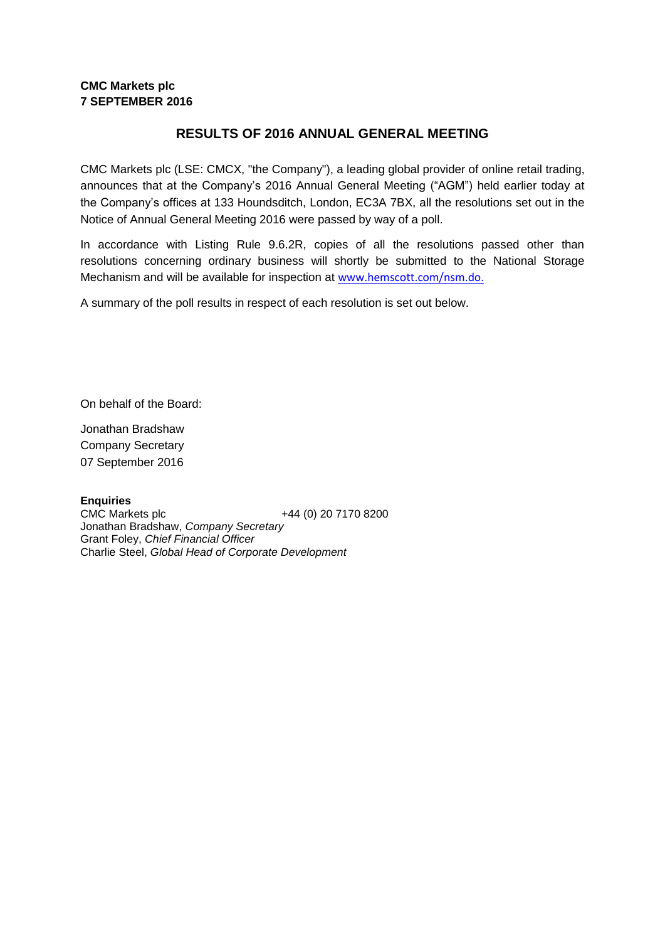## **CMC Markets plc 7 SEPTEMBER 2016**

## **RESULTS OF 2016 ANNUAL GENERAL MEETING**

CMC Markets plc (LSE: CMCX, "the Company"), a leading global provider of online retail trading, announces that at the Company's 2016 Annual General Meeting ("AGM") held earlier today at the Company's offices at 133 Houndsditch, London, EC3A 7BX, all the resolutions set out in the Notice of Annual General Meeting 2016 were passed by way of a poll.

In accordance with Listing Rule 9.6.2R, copies of all the resolutions passed other than resolutions concerning ordinary business will shortly be submitted to the National Storage Mechanism and will be available for inspection at [www.hemscott.com/nsm.do.](http://www.hemscott.com/nsm.do)

A summary of the poll results in respect of each resolution is set out below.

On behalf of the Board:

Jonathan Bradshaw Company Secretary 07 September 2016

**Enquiries** CMC Markets plc +44 (0) 20 7170 8200 Jonathan Bradshaw, *Company Secretary* Grant Foley, *Chief Financial Officer* Charlie Steel, *Global Head of Corporate Development*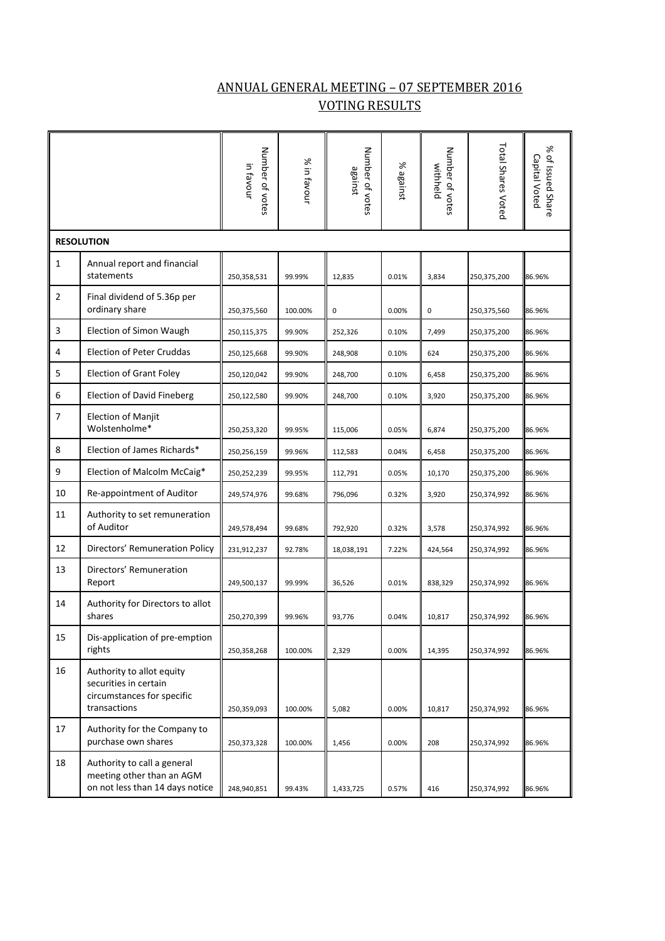## ANNUAL GENERAL MEETING – 07 SEPTEMBER 2016 VOTING RESULTS

|                   |                                                                                                  | Number of votes<br>in favour | % in favour | Number of votes<br>against | % against | Number of votes<br>withheld | <b>Total Shares Voted</b> | % of Issued Share<br>Capital Voted |
|-------------------|--------------------------------------------------------------------------------------------------|------------------------------|-------------|----------------------------|-----------|-----------------------------|---------------------------|------------------------------------|
| <b>RESOLUTION</b> |                                                                                                  |                              |             |                            |           |                             |                           |                                    |
| 1                 | Annual report and financial<br>statements                                                        | 250,358,531                  | 99.99%      | 12,835                     | 0.01%     | 3,834                       | 250,375,200               | 86.96%                             |
| $\overline{2}$    | Final dividend of 5.36p per<br>ordinary share                                                    | 250,375,560                  | 100.00%     | 0                          | 0.00%     | 0                           | 250,375,560               | 86.96%                             |
| 3                 | Election of Simon Waugh                                                                          | 250,115,375                  | 99.90%      | 252,326                    | 0.10%     | 7,499                       | 250,375,200               | 86.96%                             |
| 4                 | <b>Election of Peter Cruddas</b>                                                                 | 250,125,668                  | 99.90%      | 248,908                    | 0.10%     | 624                         | 250,375,200               | 86.96%                             |
| 5                 | <b>Election of Grant Foley</b>                                                                   | 250,120,042                  | 99.90%      | 248,700                    | 0.10%     | 6,458                       | 250,375,200               | 86.96%                             |
| 6                 | <b>Election of David Fineberg</b>                                                                | 250,122,580                  | 99.90%      | 248,700                    | 0.10%     | 3,920                       | 250,375,200               | 86.96%                             |
| 7                 | Election of Manjit<br>Wolstenholme*                                                              | 250,253,320                  | 99.95%      | 115,006                    | 0.05%     | 6,874                       | 250,375,200               | 86.96%                             |
| 8                 | Election of James Richards*                                                                      | 250,256,159                  | 99.96%      | 112,583                    | 0.04%     | 6,458                       | 250,375,200               | 86.96%                             |
| 9                 | Election of Malcolm McCaig*                                                                      | 250,252,239                  | 99.95%      | 112,791                    | 0.05%     | 10,170                      | 250,375,200               | 86.96%                             |
| 10                | Re-appointment of Auditor                                                                        | 249,574,976                  | 99.68%      | 796,096                    | 0.32%     | 3,920                       | 250,374,992               | 86.96%                             |
| 11                | Authority to set remuneration<br>of Auditor                                                      | 249,578,494                  | 99.68%      | 792,920                    | 0.32%     | 3,578                       | 250,374,992               | 86.96%                             |
| 12                | Directors' Remuneration Policy                                                                   | 231,912,237                  | 92.78%      | 18,038,191                 | 7.22%     | 424,564                     | 250,374,992               | 86.96%                             |
| 13                | Directors' Remuneration<br>Report                                                                | 249,500,137                  | 99.99%      | 36,526                     | 0.01%     | 838,329                     | 250,374,992               | 86.96%                             |
| 14                | Authority for Directors to allot<br>shares                                                       | 250,270,399                  | 99.96%      | 93,776                     | 0.04%     | 10,817                      | 250,374,992               | 86.96%                             |
| 15                | Dis-application of pre-emption<br>rights                                                         | 250,358,268                  | 100.00%     | 2,329                      | 0.00%     | 14,395                      | 250,374,992               | 86.96%                             |
| 16                | Authority to allot equity<br>securities in certain<br>circumstances for specific<br>transactions | 250,359,093                  | 100.00%     | 5,082                      | 0.00%     | 10,817                      | 250,374,992               | 86.96%                             |
| 17                | Authority for the Company to<br>purchase own shares                                              | 250,373,328                  | 100.00%     | 1,456                      | 0.00%     | 208                         | 250,374,992               | 86.96%                             |
| 18                | Authority to call a general<br>meeting other than an AGM<br>on not less than 14 days notice      | 248,940,851                  | 99.43%      | 1,433,725                  | 0.57%     | 416                         | 250,374,992               | 86.96%                             |